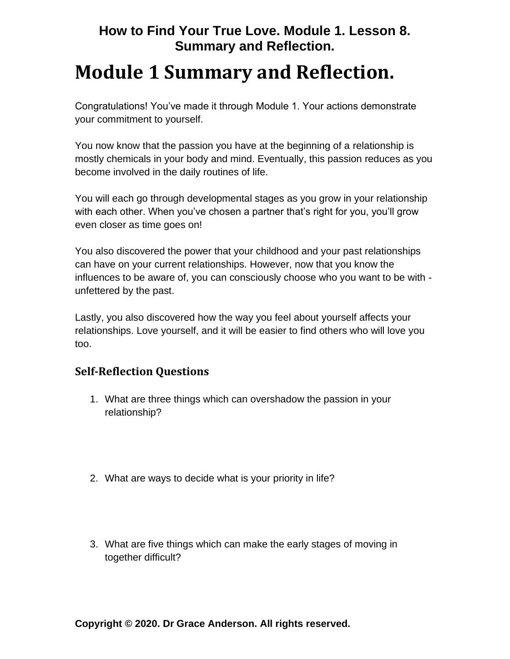## **How to Find Your True Love. Module 1. Lesson 8. Summary and Reflection.**

## **Module 1 Summary and Reflection.**

Congratulations! You've made it through Module 1. Your actions demonstrate your commitment to yourself.

You now know that the passion you have at the beginning of a relationship is mostly chemicals in your body and mind. Eventually, this passion reduces as you become involved in the daily routines of life.

You will each go through developmental stages as you grow in your relationship with each other. When you've chosen a partner that's right for you, you'll grow even closer as time goes on!

You also discovered the power that your childhood and your past relationships can have on your current relationships. However, now that you know the influences to be aware of, you can consciously choose who you want to be with unfettered by the past.

Lastly, you also discovered how the way you feel about yourself affects your relationships. Love yourself, and it will be easier to find others who will love you too.

## **Self-Reflection Questions**

- 1. What are three things which can overshadow the passion in your relationship?
- 2. What are ways to decide what is your priority in life?
- 3. What are five things which can make the early stages of moving in together difficult?